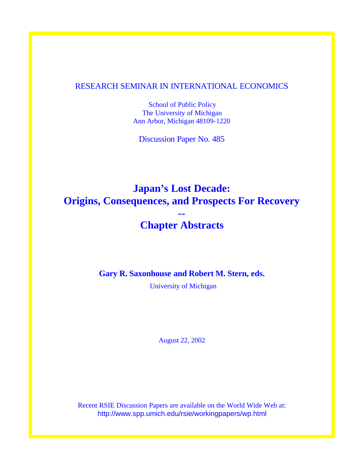## RESEARCH SEMINAR IN INTERNATIONAL ECONOMICS

School of Public Policy The University of Michigan Ann Arbor, Michigan 48109-1220

Discussion Paper No. 485

# **Japan's Lost Decade: Origins, Consequences, and Prospects For Recovery --**

## **Chapter Abstracts**

**Gary R. Saxonhouse and Robert M. Stern, eds.**

University of Michigan

August 22, 2002

Recent RSIE Discussion Papers are available on the World Wide Web at: http://www.spp.umich.edu/rsie/workingpapers/wp.html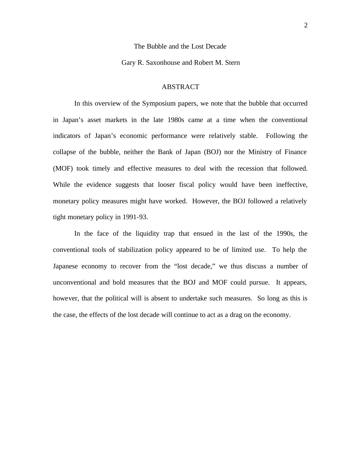#### The Bubble and the Lost Decade

#### Gary R. Saxonhouse and Robert M. Stern

#### ABSTRACT

In this overview of the Symposium papers, we note that the bubble that occurred in Japan's asset markets in the late 1980s came at a time when the conventional indicators of Japan's economic performance were relatively stable. Following the collapse of the bubble, neither the Bank of Japan (BOJ) nor the Ministry of Finance (MOF) took timely and effective measures to deal with the recession that followed. While the evidence suggests that looser fiscal policy would have been ineffective, monetary policy measures might have worked. However, the BOJ followed a relatively tight monetary policy in 1991-93.

In the face of the liquidity trap that ensued in the last of the 1990s, the conventional tools of stabilization policy appeared to be of limited use. To help the Japanese economy to recover from the "lost decade," we thus discuss a number of unconventional and bold measures that the BOJ and MOF could pursue. It appears, however, that the political will is absent to undertake such measures. So long as this is the case, the effects of the lost decade will continue to act as a drag on the economy.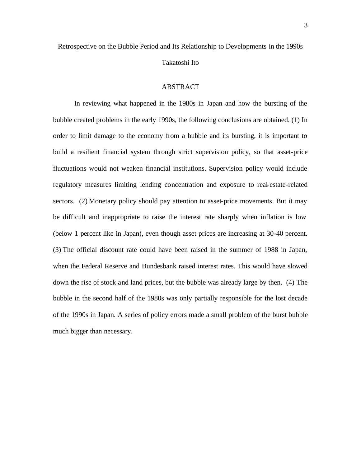Takatoshi Ito

### ABSTRACT

In reviewing what happened in the 1980s in Japan and how the bursting of the bubble created problems in the early 1990s, the following conclusions are obtained. (1) In order to limit damage to the economy from a bubble and its bursting, it is important to build a resilient financial system through strict supervision policy, so that asset-price fluctuations would not weaken financial institutions. Supervision policy would include regulatory measures limiting lending concentration and exposure to real-estate-related sectors. (2) Monetary policy should pay attention to asset-price movements. But it may be difficult and inappropriate to raise the interest rate sharply when inflation is low (below 1 percent like in Japan), even though asset prices are increasing at 30-40 percent. (3) The official discount rate could have been raised in the summer of 1988 in Japan, when the Federal Reserve and Bundesbank raised interest rates. This would have slowed down the rise of stock and land prices, but the bubble was already large by then. (4) The bubble in the second half of the 1980s was only partially responsible for the lost decade of the 1990s in Japan. A series of policy errors made a small problem of the burst bubble much bigger than necessary.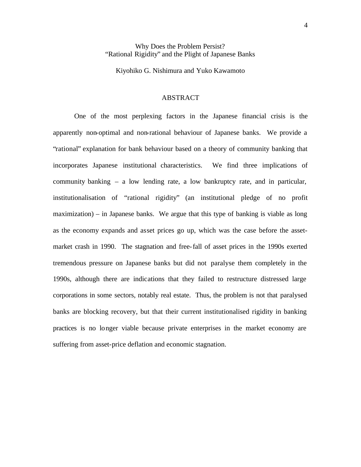## Why Does the Problem Persist? "Rational Rigidity" and the Plight of Japanese Banks

Kiyohiko G. Nishimura and Yuko Kawamoto

## ABSTRACT

One of the most perplexing factors in the Japanese financial crisis is the apparently non-optimal and non-rational behaviour of Japanese banks. We provide a "rational" explanation for bank behaviour based on a theory of community banking that incorporates Japanese institutional characteristics. We find three implications of community banking – a low lending rate, a low bankruptcy rate, and in particular, institutionalisation of "rational rigidity" (an institutional pledge of no profit maximization) – in Japanese banks. We argue that this type of banking is viable as long as the economy expands and asset prices go up, which was the case before the assetmarket crash in 1990. The stagnation and free-fall of asset prices in the 1990s exerted tremendous pressure on Japanese banks but did not paralyse them completely in the 1990s, although there are indications that they failed to restructure distressed large corporations in some sectors, notably real estate. Thus, the problem is not that paralysed banks are blocking recovery, but that their current institutionalised rigidity in banking practices is no longer viable because private enterprises in the market economy are suffering from asset-price deflation and economic stagnation.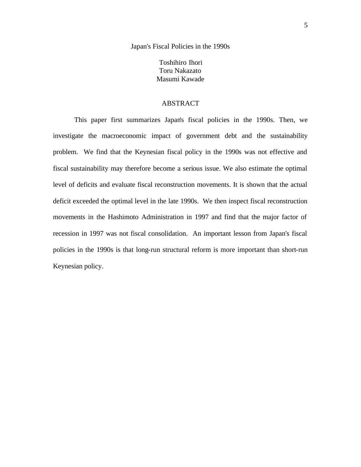Japan's Fiscal Policies in the 1990s

Toshihiro Ihori Toru Nakazato Masumi Kawade

## ABSTRACT

This paper first summarizes Japan's fiscal policies in the 1990s. Then, we investigate the macroeconomic impact of government debt and the sustainability problem. We find that the Keynesian fiscal policy in the 1990s was not effective and fiscal sustainability may therefore become a serious issue. We also estimate the optimal level of deficits and evaluate fiscal reconstruction movements. It is shown that the actual deficit exceeded the optimal level in the late 1990s. We then inspect fiscal reconstruction movements in the Hashimoto Administration in 1997 and find that the major factor of recession in 1997 was not fiscal consolidation. An important lesson from Japan's fiscal policies in the 1990s is that long-run structural reform is more important than short-run Keynesian policy.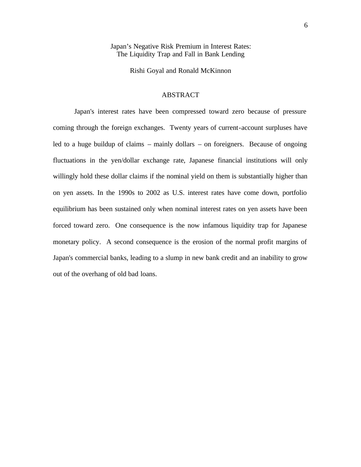Japan's Negative Risk Premium in Interest Rates: The Liquidity Trap and Fall in Bank Lending

Rishi Goyal and Ronald McKinnon

### ABSTRACT

Japan's interest rates have been compressed toward zero because of pressure coming through the foreign exchanges. Twenty years of current-account surpluses have led to a huge buildup of claims – mainly dollars – on foreigners. Because of ongoing fluctuations in the yen/dollar exchange rate, Japanese financial institutions will only willingly hold these dollar claims if the nominal yield on them is substantially higher than on yen assets. In the 1990s to 2002 as U.S. interest rates have come down, portfolio equilibrium has been sustained only when nominal interest rates on yen assets have been forced toward zero. One consequence is the now infamous liquidity trap for Japanese monetary policy. A second consequence is the erosion of the normal profit margins of Japan's commercial banks, leading to a slump in new bank credit and an inability to grow out of the overhang of old bad loans.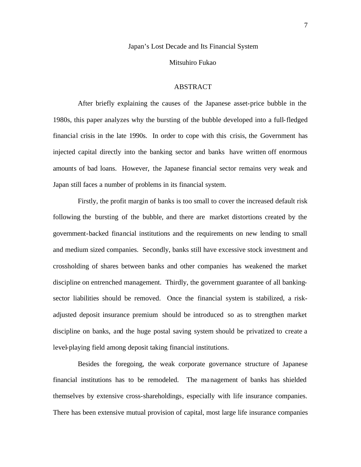#### Japan's Lost Decade and Its Financial System

#### Mitsuhiro Fukao

### ABSTRACT

After briefly explaining the causes of the Japanese asset-price bubble in the 1980s, this paper analyzes why the bursting of the bubble developed into a full-fledged financial crisis in the late 1990s. In order to cope with this crisis, the Government has injected capital directly into the banking sector and banks have written off enormous amounts of bad loans. However, the Japanese financial sector remains very weak and Japan still faces a number of problems in its financial system.

Firstly, the profit margin of banks is too small to cover the increased default risk following the bursting of the bubble, and there are market distortions created by the government-backed financial institutions and the requirements on new lending to small and medium sized companies. Secondly, banks still have excessive stock investment and crossholding of shares between banks and other companies has weakened the market discipline on entrenched management. Thirdly, the government guarantee of all bankingsector liabilities should be removed. Once the financial system is stabilized, a riskadjusted deposit insurance premium should be introduced so as to strengthen market discipline on banks, and the huge postal saving system should be privatized to create a level-playing field among deposit taking financial institutions.

Besides the foregoing, the weak corporate governance structure of Japanese financial institutions has to be remodeled. The management of banks has shielded themselves by extensive cross-shareholdings, especially with life insurance companies. There has been extensive mutual provision of capital, most large life insurance companies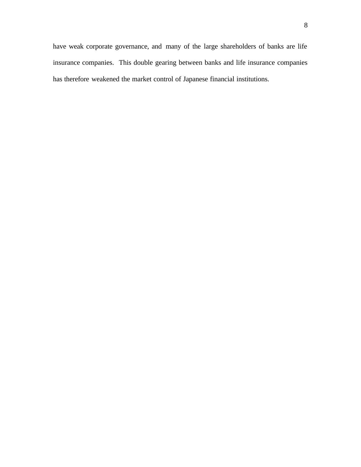have weak corporate governance, and many of the large shareholders of banks are life insurance companies. This double gearing between banks and life insurance companies has therefore weakened the market control of Japanese financial institutions.